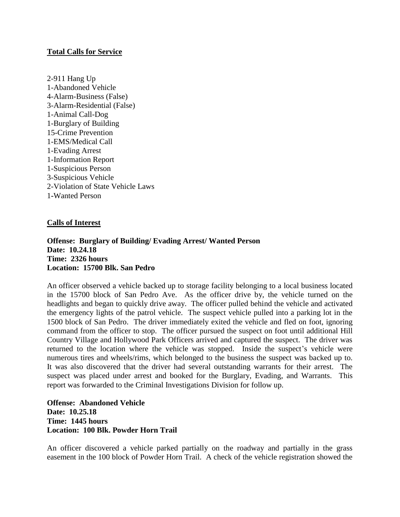## **Total Calls for Service**

2-911 Hang Up 1-Abandoned Vehicle 4-Alarm-Business (False) 3-Alarm-Residential (False) 1-Animal Call-Dog 1-Burglary of Building 15-Crime Prevention 1-EMS/Medical Call 1-Evading Arrest 1-Information Report 1-Suspicious Person 3-Suspicious Vehicle 2-Violation of State Vehicle Laws 1**-**Wanted Person

## **Calls of Interest**

### **Offense: Burglary of Building/ Evading Arrest/ Wanted Person Date: 10.24.18 Time: 2326 hours Location: 15700 Blk. San Pedro**

An officer observed a vehicle backed up to storage facility belonging to a local business located in the 15700 block of San Pedro Ave. As the officer drive by, the vehicle turned on the headlights and began to quickly drive away. The officer pulled behind the vehicle and activated the emergency lights of the patrol vehicle. The suspect vehicle pulled into a parking lot in the 1500 block of San Pedro. The driver immediately exited the vehicle and fled on foot, ignoring command from the officer to stop. The officer pursued the suspect on foot until additional Hill Country Village and Hollywood Park Officers arrived and captured the suspect. The driver was returned to the location where the vehicle was stopped. Inside the suspect's vehicle were numerous tires and wheels/rims, which belonged to the business the suspect was backed up to. It was also discovered that the driver had several outstanding warrants for their arrest. The suspect was placed under arrest and booked for the Burglary, Evading, and Warrants. This report was forwarded to the Criminal Investigations Division for follow up.

**Offense: Abandoned Vehicle Date: 10.25.18 Time: 1445 hours Location: 100 Blk. Powder Horn Trail**

An officer discovered a vehicle parked partially on the roadway and partially in the grass easement in the 100 block of Powder Horn Trail. A check of the vehicle registration showed the